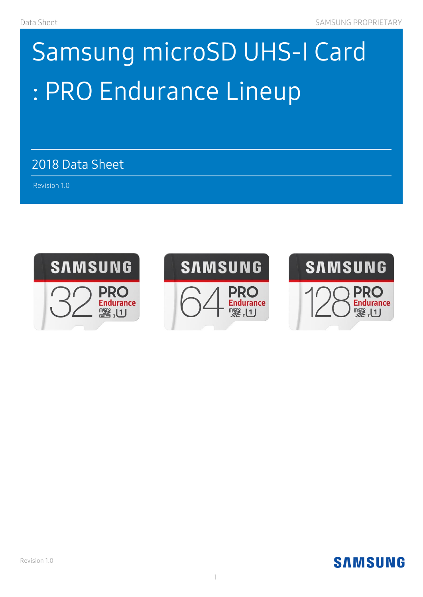# Samsung microSD UHS-I Card : PRO Endurance Lineup

2018 Data Sheet

 $A_{\rm{max}}$  and  $A_{\rm{max}}$  and  $A_{\rm{max}}$  and  $A_{\rm{max}}$ 

Revision 1.0 )

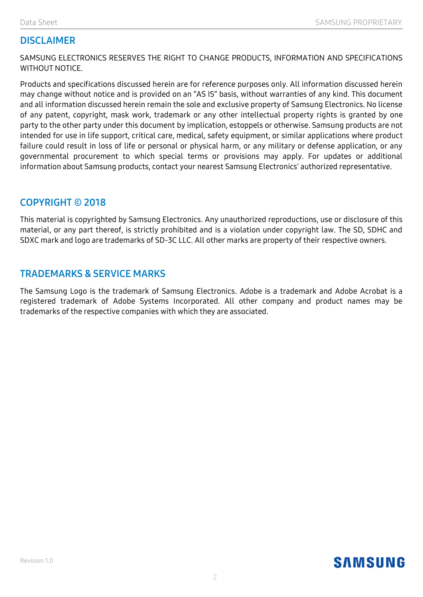## **DISCLAIMER**

SAMSUNG ELECTRONICS RESERVES THE RIGHT TO CHANGE PRODUCTS, INFORMATION AND SPECIFICATIONS WITHOUT NOTICE.

Products and specifications discussed herein are for reference purposes only. All information discussed herein may change without notice and is provided on an "AS IS" basis, without warranties of any kind. This document and all information discussed herein remain the sole and exclusive property of Samsung Electronics. No license of any patent, copyright, mask work, trademark or any other intellectual property rights is granted by one party to the other party under this document by implication, estoppels or otherwise. Samsung products are not intended for use in life support, critical care, medical, safety equipment, or similar applications where product failure could result in loss of life or personal or physical harm, or any military or defense application, or any governmental procurement to which special terms or provisions may apply. For updates or additional information about Samsung products, contact your nearest Samsung Electronics' authorized representative.

#### **COPYRIGHT © 2018**

This material is copyrighted by Samsung Electronics. Any unauthorized reproductions, use or disclosure of this material, or any part thereof, is strictly prohibited and is a violation under copyright law. The SD, SDHC and SDXC mark and logo are trademarks of SD-3C LLC. All other marks are property of their respective owners.

#### **TRADEMARKS & SERVICE MARKS**

The Samsung Logo is the trademark of Samsung Electronics. Adobe is a trademark and Adobe Acrobat is a registered trademark of Adobe Systems Incorporated. All other company and product names may be trademarks of the respective companies with which they are associated.

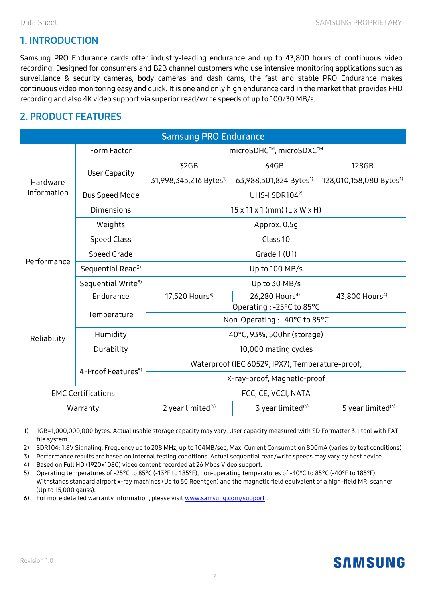# **1. INTRODUCTION**

Samsung PRO Endurance cards offer industry-leading endurance and up to 43,800 hours of continuous video recording. Designed for consumers and B2B channel customers who use intensive monitoring applications such as surveillance & security cameras, body cameras and dash cams, the fast and stable PRO Endurance makes continuous video monitoring easy and quick. It is one and only high endurance card in the market that provides FHD recording and also 4K video support via superior read/write speeds of up to 100/30 MB/s.

## **2. PRODUCT FEATURES**

| <b>Samsung PRO Endurance</b> |                                |                                                  |                                    |                                     |  |  |
|------------------------------|--------------------------------|--------------------------------------------------|------------------------------------|-------------------------------------|--|--|
| Hardware<br>Information      | Form Factor                    | microSDHC™, microSDXC™                           |                                    |                                     |  |  |
|                              | <b>User Capacity</b>           | 32GB                                             | 64GB                               | 128GB                               |  |  |
|                              |                                | 31,998,345,216 Bytes <sup>1)</sup>               | 63,988,301,824 Bytes <sup>1)</sup> | 128,010,158,080 Bytes <sup>1)</sup> |  |  |
|                              | <b>Bus Speed Mode</b>          | UHS-I SDR104 <sup>2)</sup>                       |                                    |                                     |  |  |
|                              | <b>Dimensions</b>              | $15 \times 11 \times 1$ (mm) (L x W x H)         |                                    |                                     |  |  |
|                              | Weights                        | Approx. 0.5g                                     |                                    |                                     |  |  |
| Performance                  | <b>Speed Class</b>             | Class 10                                         |                                    |                                     |  |  |
|                              | Speed Grade                    | Grade 1 (U1)                                     |                                    |                                     |  |  |
|                              | Sequential Read <sup>3)</sup>  | Up to 100 MB/s                                   |                                    |                                     |  |  |
|                              | Sequential Write <sup>3)</sup> | Up to 30 MB/s                                    |                                    |                                     |  |  |
| Reliability                  | Endurance                      | 17,520 Hours <sup>4)</sup>                       | 26,280 Hours <sup>4)</sup>         | 43,800 Hours <sup>4)</sup>          |  |  |
|                              | Temperature                    | Operating : -25°C to 85°C                        |                                    |                                     |  |  |
|                              |                                | Non-Operating : -40°C to 85°C                    |                                    |                                     |  |  |
|                              | Humidity                       | 40°C, 93%, 500hr (storage)                       |                                    |                                     |  |  |
|                              | Durability                     | 10,000 mating cycles                             |                                    |                                     |  |  |
|                              | 4-Proof Features <sup>5)</sup> | Waterproof (IEC 60529, IPX7), Temperature-proof, |                                    |                                     |  |  |
|                              |                                | X-ray-proof, Magnetic-proof                      |                                    |                                     |  |  |
| <b>EMC Certifications</b>    |                                | FCC, CE, VCCI, NATA                              |                                    |                                     |  |  |
| Warranty                     |                                | 2 year limited <sup>(6)</sup>                    | 3 year limited <sup>(6)</sup>      | 5 year limited <sup>(6)</sup>       |  |  |

1) 1GB=1,000,000,000 bytes. Actual usable storage capacity may vary. User capacity measured with SD Formatter 3.1 tool with FAT file system.

2) SDR104: 1.8V Signaling, Frequency up to 208 MHz, up to 104MB/sec, Max. Current Consumption 800mA (varies by test conditions)

3) Performance results are based on internal testing conditions. Actual sequential read/write speeds may vary by host device.

4) Based on Full HD (1920x1080) video content recorded at 26 Mbps Video support.

5) Operating temperatures of -25°C to 85°C (-13°F to 185°F), non-operating temperatures of -40°C to 85°C (-40°F to 185°F). Withstands standard airport x-ray machines (Up to 50 Roentgen) and the magnetic field equivalent of a high-field MRI scanner (Up to 15,000 gauss).

6) For more detailed warranty information, please visi[t www.samsung.com/support](http://www.samsung.com/support) .